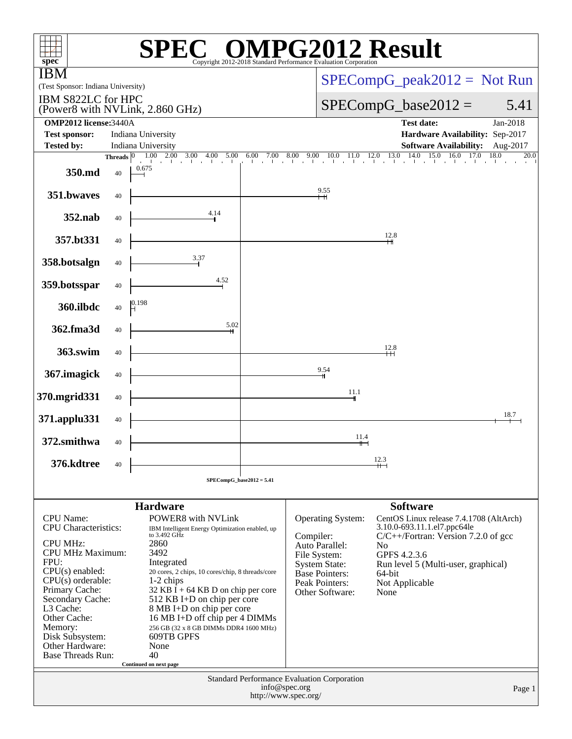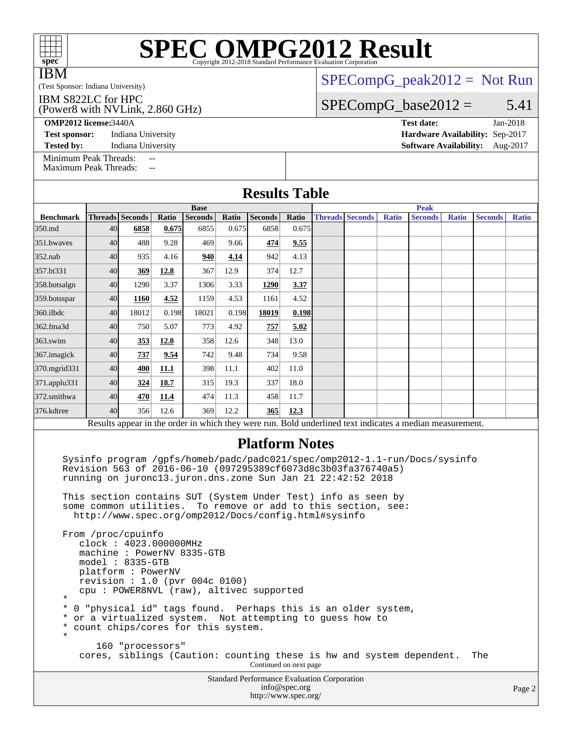|      | <b>SPEC OMPG2012 Result</b>                                     |
|------|-----------------------------------------------------------------|
| spec | Copyright 2012-2018 Standard Performance Evaluation Corporation |

IBM

## [SPECompG\\_peak2012 =](http://www.spec.org/auto/omp2012/Docs/result-fields.html#SPECompGpeak2012) Not Run

### (Test Sponsor: Indiana University) IBM S822LC for HPC

(Power8 with NVLink, 2.860 GHz)

**[Test sponsor:](http://www.spec.org/auto/omp2012/Docs/result-fields.html#Testsponsor)** Indiana University **[Hardware Availability:](http://www.spec.org/auto/omp2012/Docs/result-fields.html#HardwareAvailability)** Sep-2017

# $SPECompG_base2012 = 5.41$  $SPECompG_base2012 = 5.41$

**[OMP2012 license:](http://www.spec.org/auto/omp2012/Docs/result-fields.html#OMP2012license)**3440A **[Test date:](http://www.spec.org/auto/omp2012/Docs/result-fields.html#Testdate)** Jan-2018

**[Tested by:](http://www.spec.org/auto/omp2012/Docs/result-fields.html#Testedby)** Indiana University **[Software Availability:](http://www.spec.org/auto/omp2012/Docs/result-fields.html#SoftwareAvailability)** Aug-2017

[Minimum Peak Threads:](http://www.spec.org/auto/omp2012/Docs/result-fields.html#MinimumPeakThreads) --<br>Maximum Peak Threads: --[Maximum Peak Threads:](http://www.spec.org/auto/omp2012/Docs/result-fields.html#MaximumPeakThreads)

| <b>Results Table</b>                                                                                                                                                                                                                                                                                                                                                                      |             |                 |       |                |       |                |             |                        |  |              |                                                                                                          |              |                |              |
|-------------------------------------------------------------------------------------------------------------------------------------------------------------------------------------------------------------------------------------------------------------------------------------------------------------------------------------------------------------------------------------------|-------------|-----------------|-------|----------------|-------|----------------|-------------|------------------------|--|--------------|----------------------------------------------------------------------------------------------------------|--------------|----------------|--------------|
|                                                                                                                                                                                                                                                                                                                                                                                           | <b>Base</b> |                 |       |                |       |                | <b>Peak</b> |                        |  |              |                                                                                                          |              |                |              |
| <b>Benchmark</b>                                                                                                                                                                                                                                                                                                                                                                          |             | Threads Seconds | Ratio | <b>Seconds</b> | Ratio | <b>Seconds</b> | Ratio       | <b>Threads Seconds</b> |  | <b>Ratio</b> | <b>Seconds</b>                                                                                           | <b>Ratio</b> | <b>Seconds</b> | <b>Ratio</b> |
| 350.md                                                                                                                                                                                                                                                                                                                                                                                    | 40          | 6858            | 0.675 | 6855           | 0.675 | 6858           | 0.675       |                        |  |              |                                                                                                          |              |                |              |
| 351.bwayes                                                                                                                                                                                                                                                                                                                                                                                | 40          | 488             | 9.28  | 469            | 9.66  | 474            | 9.55        |                        |  |              |                                                                                                          |              |                |              |
| 352.nab                                                                                                                                                                                                                                                                                                                                                                                   | 40          | 935             | 4.16  | 940            | 4.14  | 942            | 4.13        |                        |  |              |                                                                                                          |              |                |              |
| 357.bt331                                                                                                                                                                                                                                                                                                                                                                                 | 40          | 369             | 12.8  | 367            | 12.9  | 374            | 12.7        |                        |  |              |                                                                                                          |              |                |              |
| 358.botsalgn                                                                                                                                                                                                                                                                                                                                                                              | 40          | 1290            | 3.37  | 1306           | 3.33  | 1290           | 3.37        |                        |  |              |                                                                                                          |              |                |              |
| 359.botsspar                                                                                                                                                                                                                                                                                                                                                                              | 40          | 1160            | 4.52  | 1159           | 4.53  | 1161           | 4.52        |                        |  |              |                                                                                                          |              |                |              |
| 360.ilbdc                                                                                                                                                                                                                                                                                                                                                                                 | 40          | 18012           | 0.198 | 18021          | 0.198 | 18019          | 0.198       |                        |  |              |                                                                                                          |              |                |              |
| 362.fma3d                                                                                                                                                                                                                                                                                                                                                                                 | 40          | 750             | 5.07  | 773            | 4.92  | 757            | 5.02        |                        |  |              |                                                                                                          |              |                |              |
| 363.swim                                                                                                                                                                                                                                                                                                                                                                                  | 40          | 353             | 12.8  | 358            | 12.6  | 348            | 13.0        |                        |  |              |                                                                                                          |              |                |              |
| 367.imagick                                                                                                                                                                                                                                                                                                                                                                               | 40          | 737             | 9.54  | 742            | 9.48  | 734            | 9.58        |                        |  |              |                                                                                                          |              |                |              |
| 370.mgrid331                                                                                                                                                                                                                                                                                                                                                                              | 40          | 400             | 11.1  | 398            | 11.1  | 402            | 11.0        |                        |  |              |                                                                                                          |              |                |              |
| 371.applu331                                                                                                                                                                                                                                                                                                                                                                              | 40          | 324             | 18.7  | 315            | 19.3  | 337            | 18.0        |                        |  |              |                                                                                                          |              |                |              |
| 372.smithwa                                                                                                                                                                                                                                                                                                                                                                               | 40          | 470             | 11.4  | 474            | 11.3  | 458            | 11.7        |                        |  |              |                                                                                                          |              |                |              |
| 376.kdtree                                                                                                                                                                                                                                                                                                                                                                                | 40          | 356             | 12.6  | 369            | 12.2  | 365            | 12.3        |                        |  |              |                                                                                                          |              |                |              |
|                                                                                                                                                                                                                                                                                                                                                                                           |             |                 |       |                |       |                |             |                        |  |              | Results appear in the order in which they were run. Bold underlined text indicates a median measurement. |              |                |              |
| <b>Platform Notes</b><br>Sysinfo program /gpfs/homeb/padc/padc021/spec/omp2012-1.1-run/Docs/sysinfo<br>Revision 563 of 2016-06-10 (097295389cf6073d8c3b03fa376740a5)<br>running on juronc13.juron.dns.zone Sun Jan 21 22:42:52 2018                                                                                                                                                       |             |                 |       |                |       |                |             |                        |  |              |                                                                                                          |              |                |              |
| This section contains SUT (System Under Test) info as seen by<br>some common utilities. To remove or add to this section, see:<br>http://www.spec.org/omp2012/Docs/config.html#sysinfo<br>From /proc/cpuinfo<br>clock: 4023.000000MHz<br>machine: PowerNV 8335-GTB<br>$model: 8335-GTB$<br>platform: PowerNV<br>revision : 1.0 (pvr 004c 0100)<br>cpu: POWER8NVL (raw), altivec supported |             |                 |       |                |       |                |             |                        |  |              |                                                                                                          |              |                |              |

### \* \* 0 "physical id" tags found. Perhaps this is an older system,

\* or a virtualized system. Not attempting to guess how to

```
 * count chips/cores for this system.
*
```

```
 160 "processors"
cores, siblings (Caution: counting these is hw and system dependent. The
```
Continued on next page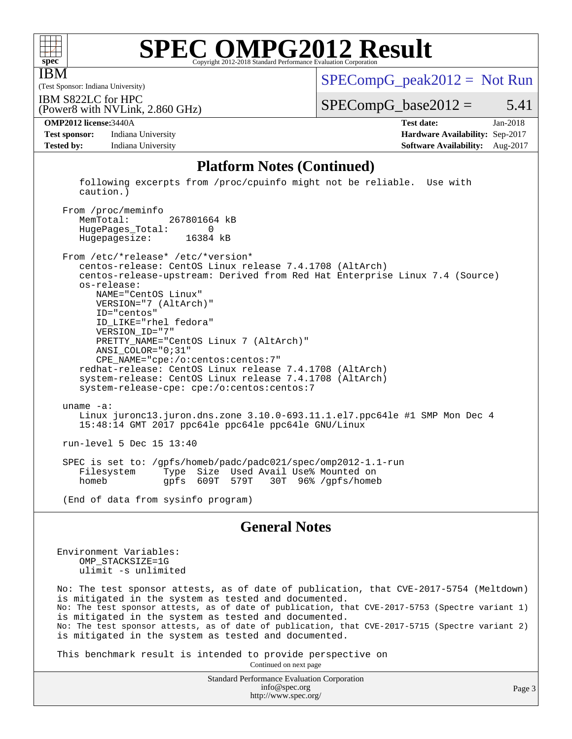

IBM

# **[SPEC OMPG2012 Result](http://www.spec.org/auto/omp2012/Docs/result-fields.html#SPECOMPG2012Result)**

(Test Sponsor: Indiana University)

 $SPECompG_peak2012 = Not Run$  $SPECompG_peak2012 = Not Run$ 

(Power8 with NVLink, 2.860 GHz) IBM S822LC for HPC

 $SPECompG_base2012 = 5.41$  $SPECompG_base2012 = 5.41$ 

**[Test sponsor:](http://www.spec.org/auto/omp2012/Docs/result-fields.html#Testsponsor)** Indiana University **[Hardware Availability:](http://www.spec.org/auto/omp2012/Docs/result-fields.html#HardwareAvailability)** Sep-2017 **[Tested by:](http://www.spec.org/auto/omp2012/Docs/result-fields.html#Testedby)** Indiana University **[Software Availability:](http://www.spec.org/auto/omp2012/Docs/result-fields.html#SoftwareAvailability)** Aug-2017

**[OMP2012 license:](http://www.spec.org/auto/omp2012/Docs/result-fields.html#OMP2012license)**3440A **[Test date:](http://www.spec.org/auto/omp2012/Docs/result-fields.html#Testdate)** Jan-2018

### **[Platform Notes \(Continued\)](http://www.spec.org/auto/omp2012/Docs/result-fields.html#PlatformNotes)**

 following excerpts from /proc/cpuinfo might not be reliable. Use with caution.)

From /proc/meminfo<br>MemTotal: 267801664 kB HugePages\_Total: 0 Hugepagesize: 16384 kB

 From /etc/\*release\* /etc/\*version\* centos-release: CentOS Linux release 7.4.1708 (AltArch) centos-release-upstream: Derived from Red Hat Enterprise Linux 7.4 (Source) os-release: NAME="CentOS Linux" VERSION="7 (AltArch)" ID="centos" ID\_LIKE="rhel fedora" VERSION\_ID="7" PRETTY\_NAME="CentOS Linux 7 (AltArch)" ANSI\_COLOR="0;31" CPE\_NAME="cpe:/o:centos:centos:7" redhat-release: CentOS Linux release 7.4.1708 (AltArch) system-release: CentOS Linux release 7.4.1708 (AltArch) system-release-cpe: cpe:/o:centos:centos:7 uname -a: Linux juronc13.juron.dns.zone 3.10.0-693.11.1.el7.ppc64le #1 SMP Mon Dec 4 15:48:14 GMT 2017 ppc64le ppc64le ppc64le GNU/Linux run-level 5 Dec 15 13:40 SPEC is set to: /gpfs/homeb/padc/padc021/spec/omp2012-1.1-run Type Size Used Avail Use% Mounted on<br>gpfs 609T 579T 30T 96% /gpfs/homel homeb gpfs 609T 579T 30T 96% /gpfs/homeb

(End of data from sysinfo program)

### **[General Notes](http://www.spec.org/auto/omp2012/Docs/result-fields.html#GeneralNotes)**

Environment Variables: OMP\_STACKSIZE=1G ulimit -s unlimited

No: The test sponsor attests, as of date of publication, that CVE-2017-5754 (Meltdown) is mitigated in the system as tested and documented. No: The test sponsor attests, as of date of publication, that CVE-2017-5753 (Spectre variant 1) is mitigated in the system as tested and documented. No: The test sponsor attests, as of date of publication, that CVE-2017-5715 (Spectre variant 2) is mitigated in the system as tested and documented.

This benchmark result is intended to provide perspective on

Continued on next page

Standard Performance Evaluation Corporation [info@spec.org](mailto:info@spec.org) <http://www.spec.org/>

Page 3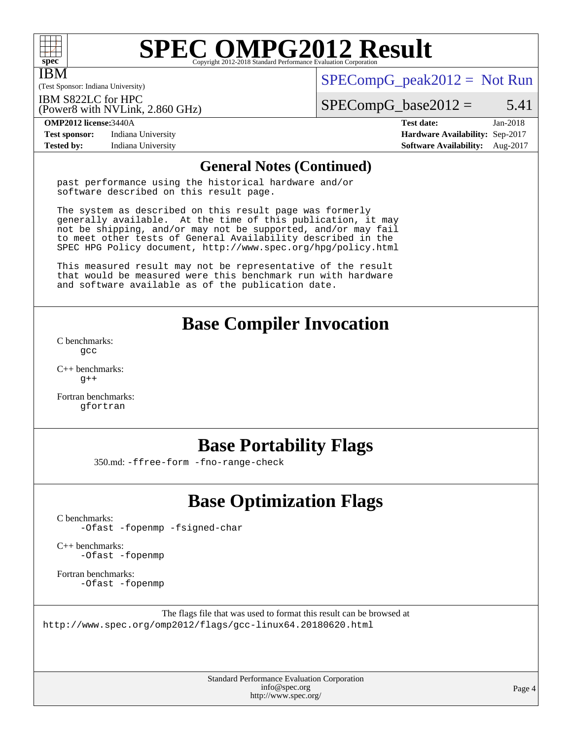

IBM

# **[SPEC OMPG2012 Result](http://www.spec.org/auto/omp2012/Docs/result-fields.html#SPECOMPG2012Result)**

(Test Sponsor: Indiana University)

 $SPECompG_peak2012 = Not Run$  $SPECompG_peak2012 = Not Run$ 

IBM S822LC for HPC

(Power8 with NVLink, 2.860 GHz)

 $SPECompG_base2012 = 5.41$  $SPECompG_base2012 = 5.41$ 

**[Test sponsor:](http://www.spec.org/auto/omp2012/Docs/result-fields.html#Testsponsor)** Indiana University **[Hardware Availability:](http://www.spec.org/auto/omp2012/Docs/result-fields.html#HardwareAvailability)** Sep-2017 **[Tested by:](http://www.spec.org/auto/omp2012/Docs/result-fields.html#Testedby)** Indiana University **[Software Availability:](http://www.spec.org/auto/omp2012/Docs/result-fields.html#SoftwareAvailability)** Aug-2017

**[OMP2012 license:](http://www.spec.org/auto/omp2012/Docs/result-fields.html#OMP2012license)**3440A **[Test date:](http://www.spec.org/auto/omp2012/Docs/result-fields.html#Testdate)** Jan-2018

## **[General Notes \(Continued\)](http://www.spec.org/auto/omp2012/Docs/result-fields.html#GeneralNotes)**

past performance using the historical hardware and/or software described on this result page.

The system as described on this result page was formerly generally available. At the time of this publication, it may not be shipping, and/or may not be supported, and/or may fail to meet other tests of General Availability described in the SPEC HPG Policy document, <http://www.spec.org/hpg/policy.html>

This measured result may not be representative of the result that would be measured were this benchmark run with hardware and software available as of the publication date.

# **[Base Compiler Invocation](http://www.spec.org/auto/omp2012/Docs/result-fields.html#BaseCompilerInvocation)**

[C benchmarks](http://www.spec.org/auto/omp2012/Docs/result-fields.html#Cbenchmarks): [gcc](http://www.spec.org/omp2012/results/res2018q2/omp2012-20180313-00142.flags.html#user_CCbase_gcc_e0d511356bd44120af49cc96c9dcf3b3)

[C++ benchmarks:](http://www.spec.org/auto/omp2012/Docs/result-fields.html#CXXbenchmarks)  $q++$ 

[Fortran benchmarks](http://www.spec.org/auto/omp2012/Docs/result-fields.html#Fortranbenchmarks): [gfortran](http://www.spec.org/omp2012/results/res2018q2/omp2012-20180313-00142.flags.html#user_FCbase_gfortran_a303edaa4a81c8aab35b1bda5c9ef7ba)

# **[Base Portability Flags](http://www.spec.org/auto/omp2012/Docs/result-fields.html#BasePortabilityFlags)**

350.md: [-ffree-form](http://www.spec.org/omp2012/results/res2018q2/omp2012-20180313-00142.flags.html#user_baseFPORTABILITY350_md_f-ffree-form) [-fno-range-check](http://www.spec.org/omp2012/results/res2018q2/omp2012-20180313-00142.flags.html#user_baseFPORTABILITY350_md_f-fno-range-check)

# **[Base Optimization Flags](http://www.spec.org/auto/omp2012/Docs/result-fields.html#BaseOptimizationFlags)**

[C benchmarks](http://www.spec.org/auto/omp2012/Docs/result-fields.html#Cbenchmarks):

[-Ofast](http://www.spec.org/omp2012/results/res2018q2/omp2012-20180313-00142.flags.html#user_CCbase_f-Ofast) [-fopenmp](http://www.spec.org/omp2012/results/res2018q2/omp2012-20180313-00142.flags.html#user_CCbase_f-fopenmp) [-fsigned-char](http://www.spec.org/omp2012/results/res2018q2/omp2012-20180313-00142.flags.html#user_CCbase_f-signed-char_ea072296ce3abda7ab095741e7c36064)

[C++ benchmarks:](http://www.spec.org/auto/omp2012/Docs/result-fields.html#CXXbenchmarks) [-Ofast](http://www.spec.org/omp2012/results/res2018q2/omp2012-20180313-00142.flags.html#user_CXXbase_f-Ofast) [-fopenmp](http://www.spec.org/omp2012/results/res2018q2/omp2012-20180313-00142.flags.html#user_CXXbase_f-fopenmp)

[Fortran benchmarks](http://www.spec.org/auto/omp2012/Docs/result-fields.html#Fortranbenchmarks): [-Ofast](http://www.spec.org/omp2012/results/res2018q2/omp2012-20180313-00142.flags.html#user_FCbase_f-Ofast) [-fopenmp](http://www.spec.org/omp2012/results/res2018q2/omp2012-20180313-00142.flags.html#user_FCbase_f-fopenmp)

The flags file that was used to format this result can be browsed at <http://www.spec.org/omp2012/flags/gcc-linux64.20180620.html>

> Standard Performance Evaluation Corporation [info@spec.org](mailto:info@spec.org) <http://www.spec.org/>